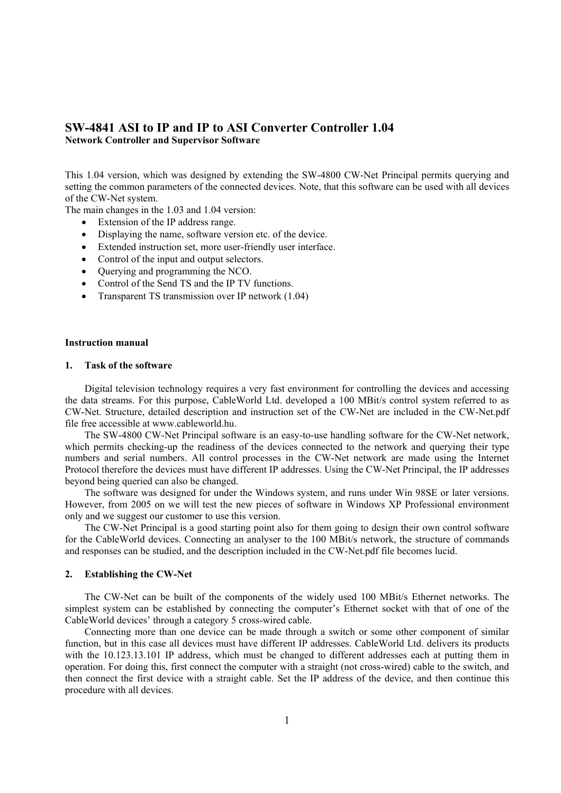# **SW-4841 ASI to IP and IP to ASI Converter Controller 1.04**

**Network Controller and Supervisor Software** 

This 1.04 version, which was designed by extending the SW-4800 CW-Net Principal permits querying and setting the common parameters of the connected devices. Note, that this software can be used with all devices of the CW-Net system.

The main changes in the 1.03 and 1.04 version:

- Extension of the IP address range.
- Displaying the name, software version etc. of the device.
- Extended instruction set, more user-friendly user interface.
- Control of the input and output selectors.
- Querying and programming the NCO.
- Control of the Send TS and the IP TV functions.
- Transparent TS transmission over IP network (1.04)

### **Instruction manual**

# **1. Task of the software**

 Digital television technology requires a very fast environment for controlling the devices and accessing the data streams. For this purpose, CableWorld Ltd. developed a 100 MBit/s control system referred to as CW-Net. Structure, detailed description and instruction set of the CW-Net are included in the CW-Net.pdf file free accessible at www.cableworld.hu.

 The SW-4800 CW-Net Principal software is an easy-to-use handling software for the CW-Net network, which permits checking-up the readiness of the devices connected to the network and querying their type numbers and serial numbers. All control processes in the CW-Net network are made using the Internet Protocol therefore the devices must have different IP addresses. Using the CW-Net Principal, the IP addresses beyond being queried can also be changed.

 The software was designed for under the Windows system, and runs under Win 98SE or later versions. However, from 2005 on we will test the new pieces of software in Windows XP Professional environment only and we suggest our customer to use this version.

 The CW-Net Principal is a good starting point also for them going to design their own control software for the CableWorld devices. Connecting an analyser to the 100 MBit/s network, the structure of commands and responses can be studied, and the description included in the CW-Net.pdf file becomes lucid.

# **2. Establishing the CW-Net**

 The CW-Net can be built of the components of the widely used 100 MBit/s Ethernet networks. The simplest system can be established by connecting the computer's Ethernet socket with that of one of the CableWorld devices' through a category 5 cross-wired cable.

 Connecting more than one device can be made through a switch or some other component of similar function, but in this case all devices must have different IP addresses. CableWorld Ltd. delivers its products with the 10.123.13.101 IP address, which must be changed to different addresses each at putting them in operation. For doing this, first connect the computer with a straight (not cross-wired) cable to the switch, and then connect the first device with a straight cable. Set the IP address of the device, and then continue this procedure with all devices.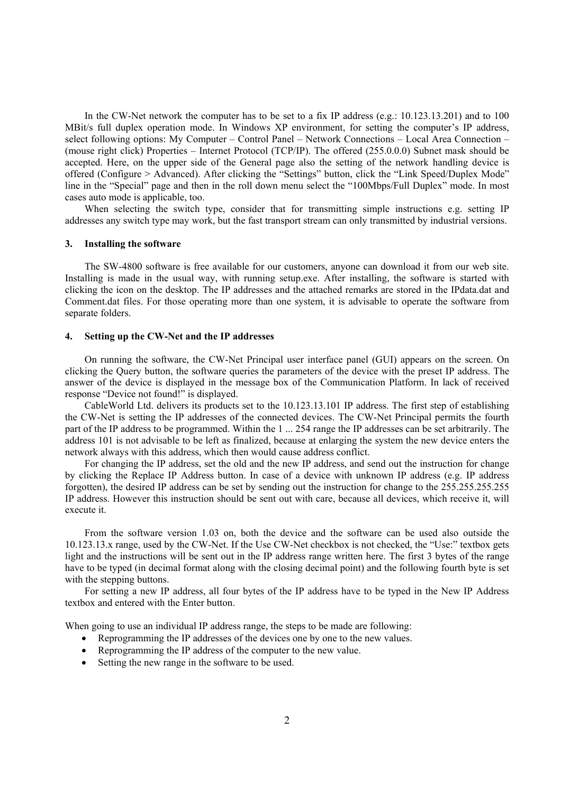In the CW-Net network the computer has to be set to a fix IP address (e.g.: 10.123.13.201) and to 100 MBit/s full duplex operation mode. In Windows XP environment, for setting the computer's IP address, select following options: My Computer – Control Panel – Network Connections – Local Area Connection – (mouse right click) Properties – Internet Protocol (TCP/IP). The offered (255.0.0.0) Subnet mask should be accepted. Here, on the upper side of the General page also the setting of the network handling device is offered (Configure > Advanced). After clicking the "Settings" button, click the "Link Speed/Duplex Mode" line in the "Special" page and then in the roll down menu select the "100Mbps/Full Duplex" mode. In most cases auto mode is applicable, too.

When selecting the switch type, consider that for transmitting simple instructions e.g. setting IP addresses any switch type may work, but the fast transport stream can only transmitted by industrial versions.

### **3. Installing the software**

 The SW-4800 software is free available for our customers, anyone can download it from our web site. Installing is made in the usual way, with running setup.exe. After installing, the software is started with clicking the icon on the desktop. The IP addresses and the attached remarks are stored in the IPdata.dat and Comment.dat files. For those operating more than one system, it is advisable to operate the software from separate folders.

# **4. Setting up the CW-Net and the IP addresses**

 On running the software, the CW-Net Principal user interface panel (GUI) appears on the screen. On clicking the Query button, the software queries the parameters of the device with the preset IP address. The answer of the device is displayed in the message box of the Communication Platform. In lack of received response "Device not found!" is displayed.

 CableWorld Ltd. delivers its products set to the 10.123.13.101 IP address. The first step of establishing the CW-Net is setting the IP addresses of the connected devices. The CW-Net Principal permits the fourth part of the IP address to be programmed. Within the 1 ... 254 range the IP addresses can be set arbitrarily. The address 101 is not advisable to be left as finalized, because at enlarging the system the new device enters the network always with this address, which then would cause address conflict.

 For changing the IP address, set the old and the new IP address, and send out the instruction for change by clicking the Replace IP Address button. In case of a device with unknown IP address (e.g. IP address forgotten), the desired IP address can be set by sending out the instruction for change to the 255.255.255.255 IP address. However this instruction should be sent out with care, because all devices, which receive it, will execute it.

 From the software version 1.03 on, both the device and the software can be used also outside the 10.123.13.x range, used by the CW-Net. If the Use CW-Net checkbox is not checked, the "Use:" textbox gets light and the instructions will be sent out in the IP address range written here. The first 3 bytes of the range have to be typed (in decimal format along with the closing decimal point) and the following fourth byte is set with the stepping buttons.

 For setting a new IP address, all four bytes of the IP address have to be typed in the New IP Address textbox and entered with the Enter button.

When going to use an individual IP address range, the steps to be made are following:

- Reprogramming the IP addresses of the devices one by one to the new values.
- Reprogramming the IP address of the computer to the new value.
- Setting the new range in the software to be used.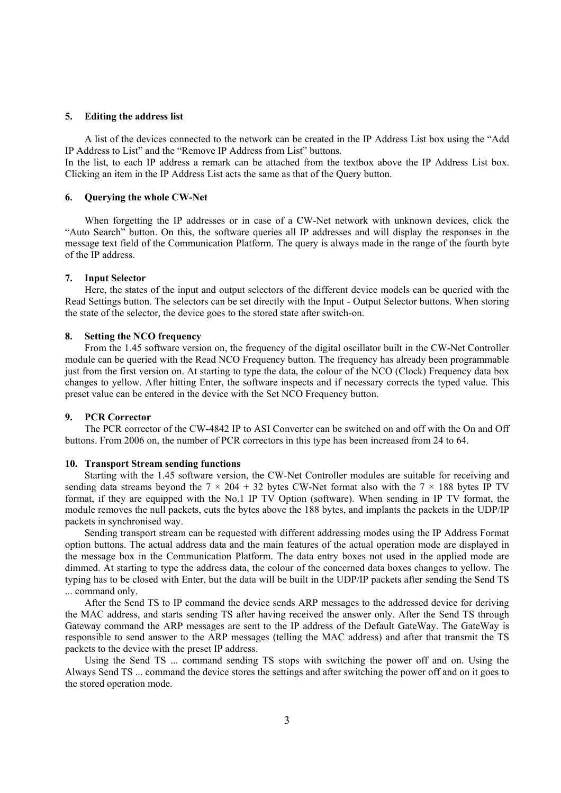#### **5. Editing the address list**

 A list of the devices connected to the network can be created in the IP Address List box using the "Add IP Address to List" and the "Remove IP Address from List" buttons.

In the list, to each IP address a remark can be attached from the textbox above the IP Address List box. Clicking an item in the IP Address List acts the same as that of the Query button.

### **6. Querying the whole CW-Net**

 When forgetting the IP addresses or in case of a CW-Net network with unknown devices, click the "Auto Search" button. On this, the software queries all IP addresses and will display the responses in the message text field of the Communication Platform. The query is always made in the range of the fourth byte of the IP address.

### **7. Input Selector**

 Here, the states of the input and output selectors of the different device models can be queried with the Read Settings button. The selectors can be set directly with the Input - Output Selector buttons. When storing the state of the selector, the device goes to the stored state after switch-on.

### **8. Setting the NCO frequency**

 From the 1.45 software version on, the frequency of the digital oscillator built in the CW-Net Controller module can be queried with the Read NCO Frequency button. The frequency has already been programmable just from the first version on. At starting to type the data, the colour of the NCO (Clock) Frequency data box changes to yellow. After hitting Enter, the software inspects and if necessary corrects the typed value. This preset value can be entered in the device with the Set NCO Frequency button.

### **9. PCR Corrector**

 The PCR corrector of the CW-4842 IP to ASI Converter can be switched on and off with the On and Off buttons. From 2006 on, the number of PCR correctors in this type has been increased from 24 to 64.

### **10. Transport Stream sending functions**

 Starting with the 1.45 software version, the CW-Net Controller modules are suitable for receiving and sending data streams beyond the  $7 \times 204 + 32$  bytes CW-Net format also with the  $7 \times 188$  bytes IP TV format, if they are equipped with the No.1 IP TV Option (software). When sending in IP TV format, the module removes the null packets, cuts the bytes above the 188 bytes, and implants the packets in the UDP/IP packets in synchronised way.

 Sending transport stream can be requested with different addressing modes using the IP Address Format option buttons. The actual address data and the main features of the actual operation mode are displayed in the message box in the Communication Platform. The data entry boxes not used in the applied mode are dimmed. At starting to type the address data, the colour of the concerned data boxes changes to yellow. The typing has to be closed with Enter, but the data will be built in the UDP/IP packets after sending the Send TS ... command only.

 After the Send TS to IP command the device sends ARP messages to the addressed device for deriving the MAC address, and starts sending TS after having received the answer only. After the Send TS through Gateway command the ARP messages are sent to the IP address of the Default GateWay. The GateWay is responsible to send answer to the ARP messages (telling the MAC address) and after that transmit the TS packets to the device with the preset IP address.

 Using the Send TS ... command sending TS stops with switching the power off and on. Using the Always Send TS ... command the device stores the settings and after switching the power off and on it goes to the stored operation mode.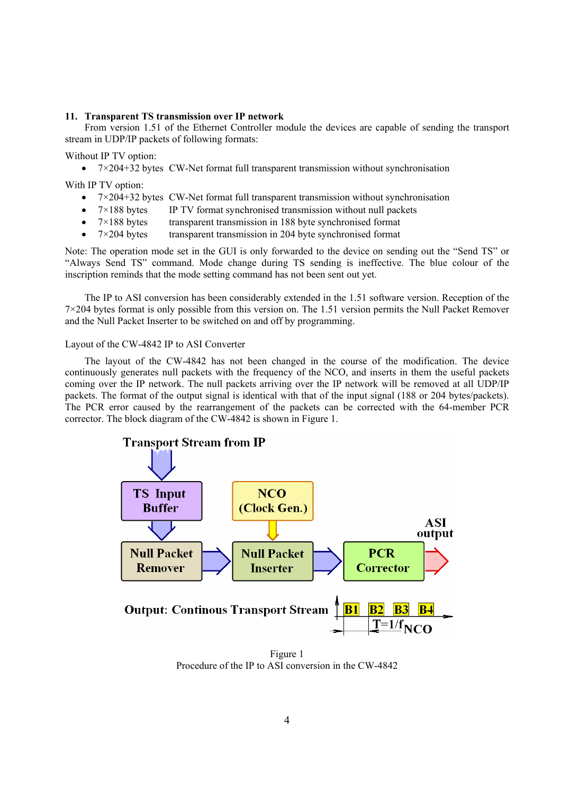### **11. Transparent TS transmission over IP network**

 From version 1.51 of the Ethernet Controller module the devices are capable of sending the transport stream in UDP/IP packets of following formats:

Without IP TV option:

•  $7 \times 204 + 32$  bytes CW-Net format full transparent transmission without synchronisation

With IP TV option:

- $7 \times 204 + 32$  bytes CW-Net format full transparent transmission without synchronisation
- $7 \times 188$  bytes IP TV format synchronised transmission without null packets
- $7 \times 188$  bytes transparent transmission in 188 byte synchronised format
- $7 \times 204$  bytes transparent transmission in 204 byte synchronised format

Note: The operation mode set in the GUI is only forwarded to the device on sending out the "Send TS" or "Always Send TS" command. Mode change during TS sending is ineffective. The blue colour of the inscription reminds that the mode setting command has not been sent out yet.

 The IP to ASI conversion has been considerably extended in the 1.51 software version. Reception of the 7×204 bytes format is only possible from this version on. The 1.51 version permits the Null Packet Remover and the Null Packet Inserter to be switched on and off by programming.

Layout of the CW-4842 IP to ASI Converter

 The layout of the CW-4842 has not been changed in the course of the modification. The device continuously generates null packets with the frequency of the NCO, and inserts in them the useful packets coming over the IP network. The null packets arriving over the IP network will be removed at all UDP/IP packets. The format of the output signal is identical with that of the input signal (188 or 204 bytes/packets). The PCR error caused by the rearrangement of the packets can be corrected with the 64-member PCR corrector. The block diagram of the CW-4842 is shown in Figure 1.



Figure 1 Procedure of the IP to ASI conversion in the CW-4842